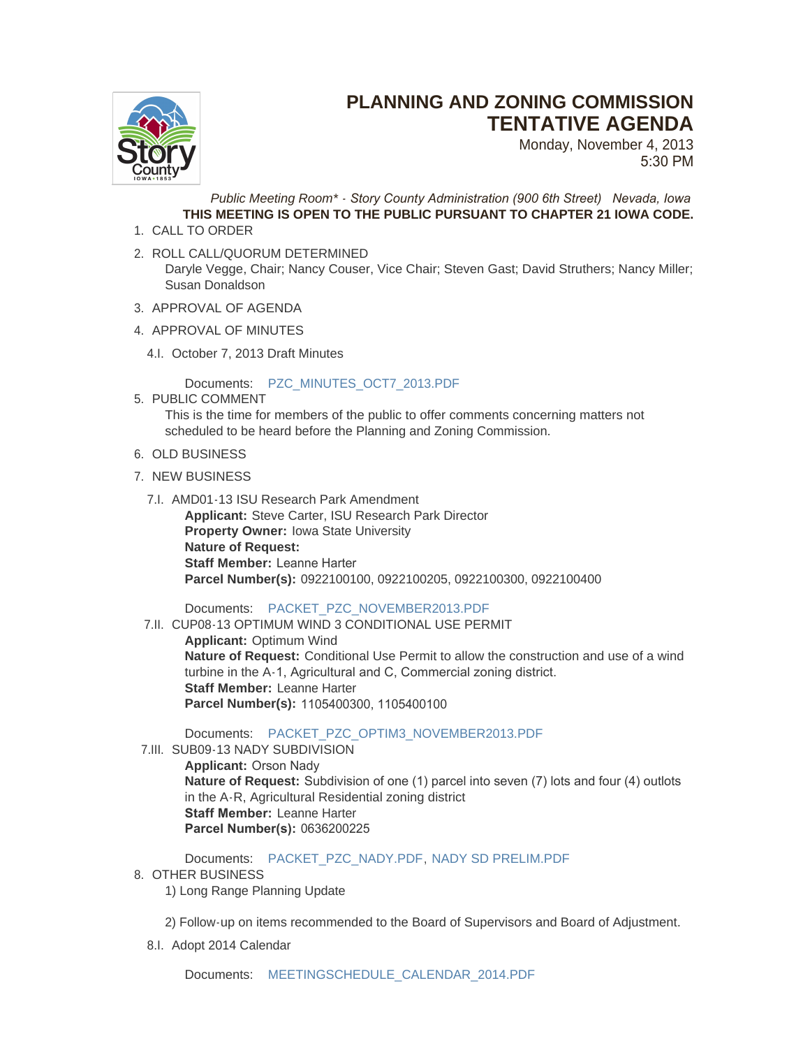

## **PLANNING AND ZONING COMMISSION TENTATIVE AGENDA**

Monday, November 4, 2013 5:30 PM

*Public Meeting Room\* - Story County Administration (900 6th Street) Nevada, Iowa* **THIS MEETING IS OPEN TO THE PUBLIC PURSUANT TO CHAPTER 21 IOWA CODE.**

- 1. CALL TO ORDER
- 2. ROLL CALL/QUORUM DETERMINED Daryle Vegge, Chair; Nancy Couser, Vice Chair; Steven Gast; David Struthers; Nancy Miller; Susan Donaldson
- 3. APPROVAL OF AGENDA
- 4. APPROVAL OF MINUTES
	- 4.I. October 7, 2013 Draft Minutes

Documents: [PZC\\_MINUTES\\_OCT7\\_2013.PDF](http://www.storycountyiowa.gov/AgendaCenter/ViewFile/Item/2472?fileID=1854)

5. PUBLIC COMMENT

This is the time for members of the public to offer comments concerning matters not scheduled to be heard before the Planning and Zoning Commission.

- 6. OLD BUSINESS
- 7. NEW BUSINESS
	- 7.I. AMD01-13 ISU Research Park Amendment

**Applicant:** Steve Carter, ISU Research Park Director **Property Owner:** Iowa State University **Nature of Request: Staff Member:** Leanne Harter **Parcel Number(s):** 0922100100, 0922100205, 0922100300, 0922100400

Documents: [PACKET\\_PZC\\_NOVEMBER2013.PDF](http://www.storycountyiowa.gov/AgendaCenter/ViewFile/Item/2454?fileID=1826)

7.II. CUP08-13 OPTIMUM WIND 3 CONDITIONAL USE PERMIT **Applicant:** Optimum Wind **Nature of Request:** Conditional Use Permit to allow the construction and use of a wind turbine in the A-1, Agricultural and C, Commercial zoning district. **Staff Member:** Leanne Harter **Parcel Number(s):** 1105400300, 1105400100

Documents: [PACKET\\_PZC\\_OPTIM3\\_NOVEMBER2013.PDF](http://www.storycountyiowa.gov/AgendaCenter/ViewFile/Item/2470?fileID=1827)

7.III. SUB09-13 NADY SUBDIVISION

**Applicant:** Orson Nady **Nature of Request:** Subdivision of one (1) parcel into seven (7) lots and four (4) outlots in the A-R, Agricultural Residential zoning district **Staff Member:** Leanne Harter **Parcel Number(s):** 0636200225

Documents: [PACKET\\_PZC\\_NADY.PDF](http://www.storycountyiowa.gov/AgendaCenter/ViewFile/Item/2485?fileID=1840), [NADY SD PRELIM.PDF](http://www.storycountyiowa.gov/AgendaCenter/ViewFile/Item/2485?fileID=1853)

8. OTHER BUSINESS

1) Long Range Planning Update

2) Follow-up on items recommended to the Board of Supervisors and Board of Adjustment.

8.I. Adopt 2014 Calendar

Documents: [MEETINGSCHEDULE\\_CALENDAR\\_2014.PDF](http://www.storycountyiowa.gov/AgendaCenter/ViewFile/Item/2483?fileID=1809)